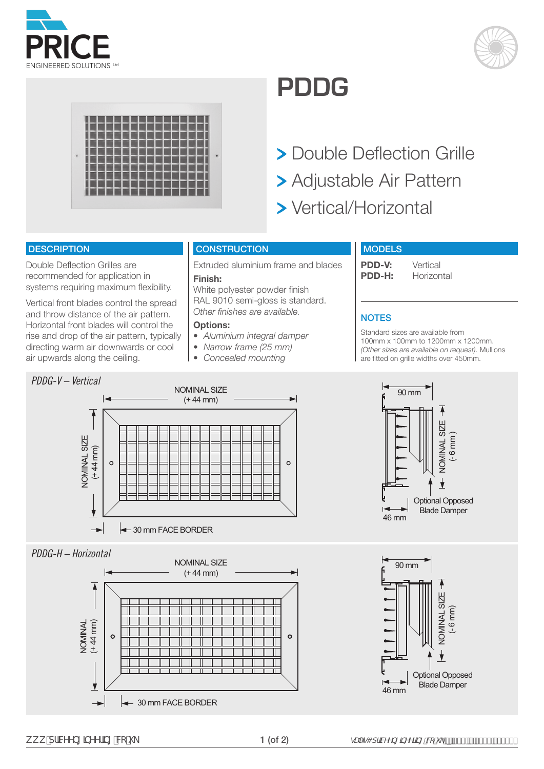





# **PDDG**

- **> Double Deflection Grille**
- Adjustable Air Pattern
- Vertical/Horizontal

#### **DESCRIPTION**

Double Deflection Grilles are recommended for application in systems requiring maximum flexibility.

Vertical front blades control the spread and throw distance of the air pattern. Horizontal front blades will control the rise and drop of the air pattern, typically directing warm air downwards or cool air upwards along the ceiling.

#### **CONSTRUCTION**

Extruded aluminium frame and blades **Finish:** 

White polyester powder finish RAL 9010 semi-gloss is standard. *Other finishes are available.*

#### **Options:**

- *• Aluminium integral damper*
- *• Narrow frame (25 mm)*
- *• Concealed mounting*

#### **MODELS**

**PDD-V:** Vertical<br>**PDD-H:** Horizon **Horizontal** 

# **NOTES**

Standard sizes are available from 100mm x 100mm to 1200mm x 1200mm. *(Other sizes are available on request).* Mullions are fitted on grille widths over 450mm.



## *PDDG-H – Horizontal*